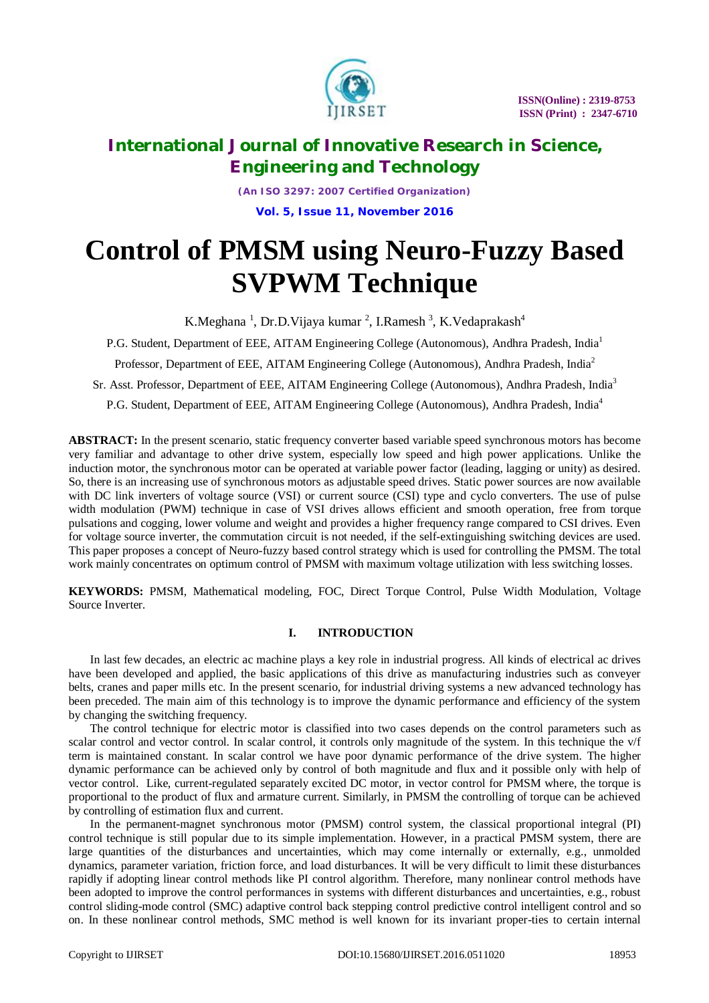

*(An ISO 3297: 2007 Certified Organization)* **Vol. 5, Issue 11, November 2016**

# **Control of PMSM using Neuro-Fuzzy Based SVPWM Technique**

K.Meghana<sup>1</sup>, Dr.D.Vijaya kumar<sup>2</sup>, I.Ramesh<sup>3</sup>, K.Vedaprakash<sup>4</sup>

P.G. Student, Department of EEE, AITAM Engineering College (Autonomous), Andhra Pradesh, India<sup>1</sup>

Professor, Department of EEE, AITAM Engineering College (Autonomous), Andhra Pradesh, India<sup>2</sup>

Sr. Asst. Professor, Department of EEE, AITAM Engineering College (Autonomous), Andhra Pradesh, India<sup>3</sup>

P.G. Student, Department of EEE, AITAM Engineering College (Autonomous), Andhra Pradesh, India<sup>4</sup>

**ABSTRACT:** In the present scenario, static frequency converter based variable speed synchronous motors has become very familiar and advantage to other drive system, especially low speed and high power applications. Unlike the induction motor, the synchronous motor can be operated at variable power factor (leading, lagging or unity) as desired. So, there is an increasing use of synchronous motors as adjustable speed drives. Static power sources are now available with DC link inverters of voltage source (VSI) or current source (CSI) type and cyclo converters. The use of pulse width modulation (PWM) technique in case of VSI drives allows efficient and smooth operation, free from torque pulsations and cogging, lower volume and weight and provides a higher frequency range compared to CSI drives. Even for voltage source inverter, the commutation circuit is not needed, if the self-extinguishing switching devices are used. This paper proposes a concept of Neuro-fuzzy based control strategy which is used for controlling the PMSM. The total work mainly concentrates on optimum control of PMSM with maximum voltage utilization with less switching losses.

**KEYWORDS:** PMSM, Mathematical modeling, FOC, Direct Torque Control, Pulse Width Modulation, Voltage Source Inverter.

### **I. INTRODUCTION**

In last few decades, an electric ac machine plays a key role in industrial progress. All kinds of electrical ac drives have been developed and applied, the basic applications of this drive as manufacturing industries such as conveyer belts, cranes and paper mills etc. In the present scenario, for industrial driving systems a new advanced technology has been preceded. The main aim of this technology is to improve the dynamic performance and efficiency of the system by changing the switching frequency.

The control technique for electric motor is classified into two cases depends on the control parameters such as scalar control and vector control. In scalar control, it controls only magnitude of the system. In this technique the  $v/f$ term is maintained constant. In scalar control we have poor dynamic performance of the drive system. The higher dynamic performance can be achieved only by control of both magnitude and flux and it possible only with help of vector control. Like, current-regulated separately excited DC motor, in vector control for PMSM where, the torque is proportional to the product of flux and armature current. Similarly, in PMSM the controlling of torque can be achieved by controlling of estimation flux and current.

In the permanent-magnet synchronous motor (PMSM) control system, the classical proportional integral (PI) control technique is still popular due to its simple implementation. However, in a practical PMSM system, there are large quantities of the disturbances and uncertainties, which may come internally or externally, e.g., unmolded dynamics, parameter variation, friction force, and load disturbances. It will be very difficult to limit these disturbances rapidly if adopting linear control methods like PI control algorithm. Therefore, many nonlinear control methods have been adopted to improve the control performances in systems with different disturbances and uncertainties, e.g., robust control sliding-mode control (SMC) adaptive control back stepping control predictive control intelligent control and so on. In these nonlinear control methods, SMC method is well known for its invariant proper-ties to certain internal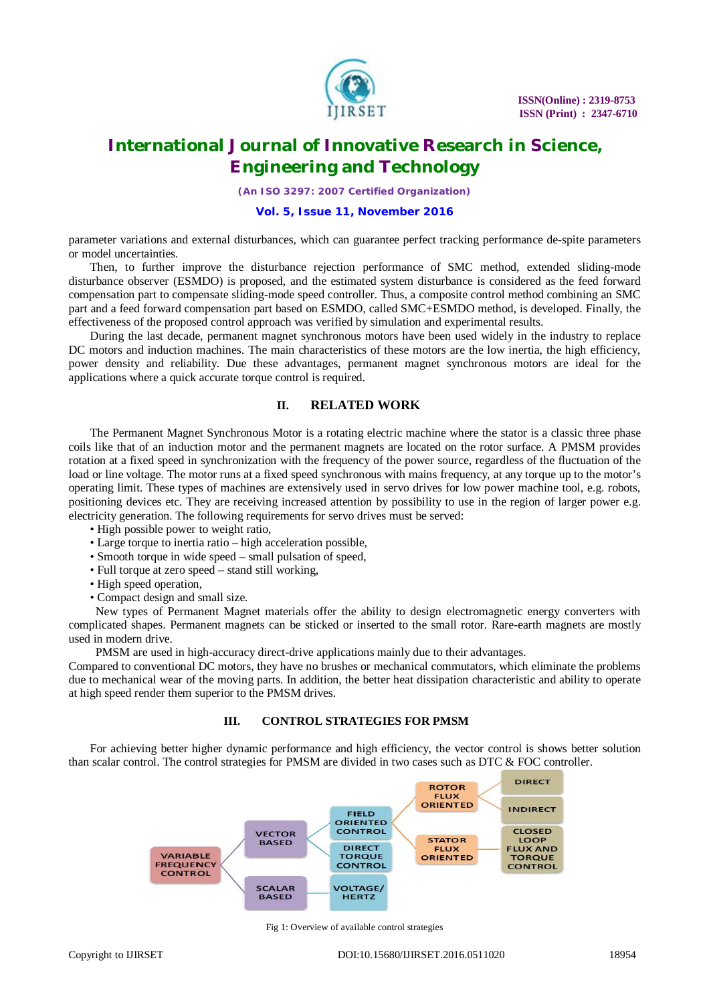

*(An ISO 3297: 2007 Certified Organization)*

#### **Vol. 5, Issue 11, November 2016**

parameter variations and external disturbances, which can guarantee perfect tracking performance de-spite parameters or model uncertainties.

Then, to further improve the disturbance rejection performance of SMC method, extended sliding-mode disturbance observer (ESMDO) is proposed, and the estimated system disturbance is considered as the feed forward compensation part to compensate sliding-mode speed controller. Thus, a composite control method combining an SMC part and a feed forward compensation part based on ESMDO, called SMC+ESMDO method, is developed. Finally, the effectiveness of the proposed control approach was verified by simulation and experimental results.

During the last decade, permanent magnet synchronous motors have been used widely in the industry to replace DC motors and induction machines. The main characteristics of these motors are the low inertia, the high efficiency, power density and reliability. Due these advantages, permanent magnet synchronous motors are ideal for the applications where a quick accurate torque control is required.

### **II. RELATED WORK**

The Permanent Magnet Synchronous Motor is a rotating electric machine where the stator is a classic three phase coils like that of an induction motor and the permanent magnets are located on the rotor surface. A PMSM provides rotation at a fixed speed in synchronization with the frequency of the power source, regardless of the fluctuation of the load or line voltage. The motor runs at a fixed speed synchronous with mains frequency, at any torque up to the motor's operating limit. These types of machines are extensively used in servo drives for low power machine tool, e.g. robots, positioning devices etc. They are receiving increased attention by possibility to use in the region of larger power e.g. electricity generation. The following requirements for servo drives must be served:

- High possible power to weight ratio,
- Large torque to inertia ratio high acceleration possible,
- Smooth torque in wide speed small pulsation of speed,
- Full torque at zero speed stand still working,
- High speed operation,
- Compact design and small size.

New types of Permanent Magnet materials offer the ability to design electromagnetic energy converters with complicated shapes. Permanent magnets can be sticked or inserted to the small rotor. Rare-earth magnets are mostly used in modern drive.

PMSM are used in high-accuracy direct-drive applications mainly due to their advantages.

Compared to conventional DC motors, they have no brushes or mechanical commutators, which eliminate the problems due to mechanical wear of the moving parts. In addition, the better heat dissipation characteristic and ability to operate at high speed render them superior to the PMSM drives.

#### **III. CONTROL STRATEGIES FOR PMSM**

For achieving better higher dynamic performance and high efficiency, the vector control is shows better solution than scalar control. The control strategies for PMSM are divided in two cases such as DTC & FOC controller.



Fig 1: Overview of available control strategies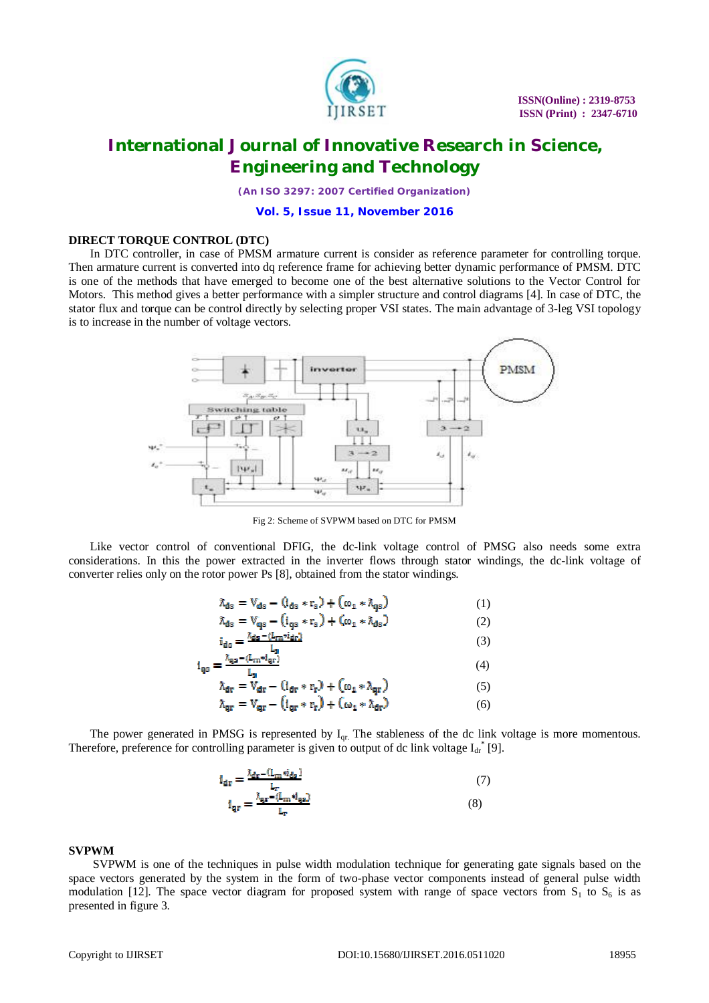

*(An ISO 3297: 2007 Certified Organization)*

**Vol. 5, Issue 11, November 2016**

#### **DIRECT TORQUE CONTROL (DTC)**

In DTC controller, in case of PMSM armature current is consider as reference parameter for controlling torque. Then armature current is converted into dq reference frame for achieving better dynamic performance of PMSM. DTC is one of the methods that have emerged to become one of the best alternative solutions to the Vector Control for Motors. This method gives a better performance with a simpler structure and control diagrams [4]. In case of DTC, the stator flux and torque can be control directly by selecting proper VSI states. The main advantage of 3-leg VSI topology is to increase in the number of voltage vectors.



Fig 2: Scheme of SVPWM based on DTC for PMSM

Like vector control of conventional DFIG, the dc-link voltage control of PMSG also needs some extra considerations. In this the power extracted in the inverter flows through stator windings, the dc-link voltage of converter relies only on the rotor power Ps [8], obtained from the stator windings.

$$
\tilde{\lambda}_{\text{ds}} = V_{\text{ds}} - (i_{\text{ds}} * r_{\text{s}}) + (\omega_1 * \tilde{\lambda}_{\text{qs}}) \tag{1}
$$

$$
\lambda_{\text{ds}} = V_{\text{gs}} - (i_{\text{gs}} * r_{\text{s}}) + (\omega_1 * \lambda_{\text{ds}}) \tag{2}
$$

$$
I_{\text{ds}} = \frac{\lambda_{\text{ds}} - (L_{\text{m}} \cdot i_{\text{dr}})}{I} \tag{3}
$$

$$
\mathbf{i}_{\text{gs}} = \frac{\mathbf{i}_{\text{gs}} - (\mathbf{i}_{\text{cm}} \cdot \mathbf{i}_{\text{gr}})}{\mathbf{1}_{\text{gs}}} \tag{4}
$$

$$
\lambda_{\rm dr} = V_{\rm dr} - (i_{\rm dr} * r_{\rm r}) + (\omega_1 * \lambda_{\rm qr}) \tag{5}
$$

$$
\lambda_{\text{qr}} = V_{\text{qr}} - (i_{\text{qr}} * r_{\text{r}}) + (\omega_1 * \lambda_{\text{dr}})
$$
 (6)

The power generated in PMSG is represented by  $I<sub>qr</sub>$ . The stableness of the dc link voltage is more momentous. Therefore, preference for controlling parameter is given to output of dc link voltage  $I_{dr}$ <sup>\*</sup> [9].

$$
\mathbf{i}_{\mathbf{dr}} = \frac{\lambda_{\mathbf{dr}} - (\mathbf{L}_{\mathbf{m}} \mathbf{v}_{\mathbf{ds}})}{\mathbf{L}_{\mathbf{r}}} \n\mathbf{i}_{\mathbf{qr}} = \frac{\lambda_{\mathbf{qr}} - (\mathbf{L}_{\mathbf{m}} \mathbf{v}_{\mathbf{qs}})}{\mathbf{L}_{\mathbf{r}}} \n(8)
$$

#### **SVPWM**

SVPWM is one of the techniques in pulse width modulation technique for generating gate signals based on the space vectors generated by the system in the form of two-phase vector components instead of general pulse width modulation [12]. The space vector diagram for proposed system with range of space vectors from  $S_1$  to  $S_6$  is as presented in figure 3.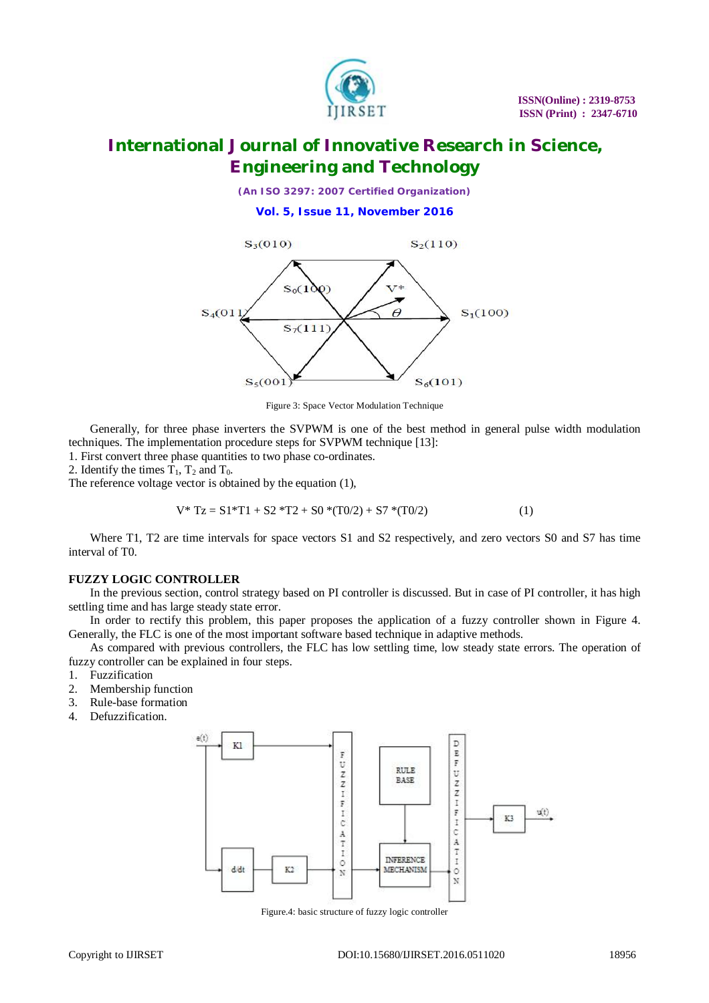

*(An ISO 3297: 2007 Certified Organization)*

**Vol. 5, Issue 11, November 2016**



Figure 3: Space Vector Modulation Technique

Generally, for three phase inverters the SVPWM is one of the best method in general pulse width modulation techniques. The implementation procedure steps for SVPWM technique [13]:

1. First convert three phase quantities to two phase co-ordinates.

2. Identify the times  $T_1$ ,  $T_2$  and  $T_0$ .

The reference voltage vector is obtained by the equation (1),

$$
V^* Tz = S1^*T1 + S2^*T2 + S0^*(T0/2) + S7^*(T0/2)
$$
 (1)

Where T1, T2 are time intervals for space vectors S1 and S2 respectively, and zero vectors S0 and S7 has time interval of T0.

### **FUZZY LOGIC CONTROLLER**

In the previous section, control strategy based on PI controller is discussed. But in case of PI controller, it has high settling time and has large steady state error.

In order to rectify this problem, this paper proposes the application of a fuzzy controller shown in Figure 4. Generally, the FLC is one of the most important software based technique in adaptive methods.

As compared with previous controllers, the FLC has low settling time, low steady state errors. The operation of fuzzy controller can be explained in four steps.

- 1. Fuzzification
- 2. Membership function
- 3. Rule-base formation
- 4. Defuzzification.



Figure.4: basic structure of fuzzy logic controller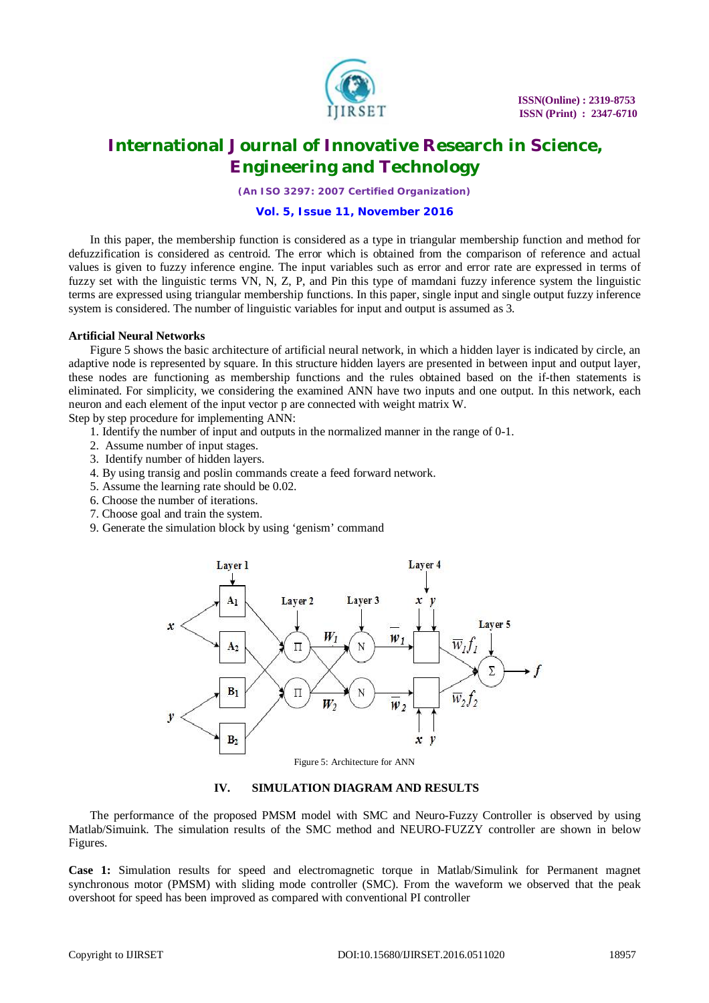

*(An ISO 3297: 2007 Certified Organization)*

#### **Vol. 5, Issue 11, November 2016**

In this paper, the membership function is considered as a type in triangular membership function and method for defuzzification is considered as centroid. The error which is obtained from the comparison of reference and actual values is given to fuzzy inference engine. The input variables such as error and error rate are expressed in terms of fuzzy set with the linguistic terms VN, N, Z, P, and Pin this type of mamdani fuzzy inference system the linguistic terms are expressed using triangular membership functions. In this paper, single input and single output fuzzy inference system is considered. The number of linguistic variables for input and output is assumed as 3.

#### **Artificial Neural Networks**

Figure 5 shows the basic architecture of artificial neural network, in which a hidden layer is indicated by circle, an adaptive node is represented by square. In this structure hidden layers are presented in between input and output layer, these nodes are functioning as membership functions and the rules obtained based on the if-then statements is eliminated. For simplicity, we considering the examined ANN have two inputs and one output. In this network, each neuron and each element of the input vector p are connected with weight matrix W.

Step by step procedure for implementing ANN:

- 1. Identify the number of input and outputs in the normalized manner in the range of 0-1.
- 2. Assume number of input stages.
- 3. Identify number of hidden layers.
- 4. By using transig and poslin commands create a feed forward network.
- 5. Assume the learning rate should be 0.02.
- 6. Choose the number of iterations.
- 7. Choose goal and train the system.
- 9. Generate the simulation block by using 'genism' command



## **IV. SIMULATION DIAGRAM AND RESULTS**

The performance of the proposed PMSM model with SMC and Neuro-Fuzzy Controller is observed by using Matlab/Simuink. The simulation results of the SMC method and NEURO-FUZZY controller are shown in below Figures.

**Case 1:** Simulation results for speed and electromagnetic torque in Matlab/Simulink for Permanent magnet synchronous motor (PMSM) with sliding mode controller (SMC). From the waveform we observed that the peak overshoot for speed has been improved as compared with conventional PI controller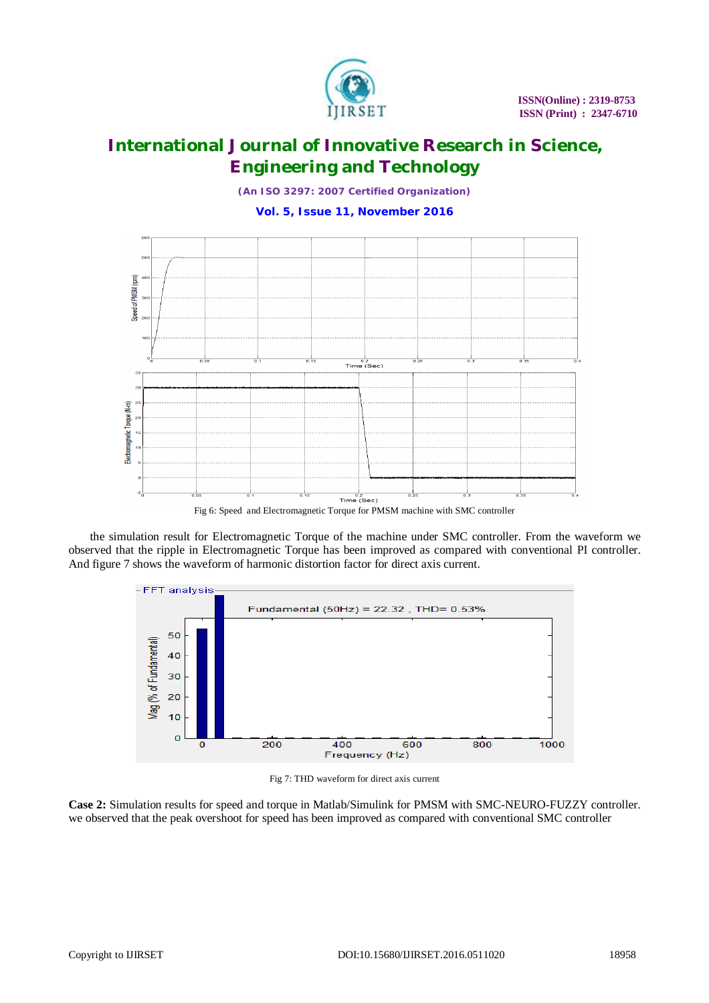

*(An ISO 3297: 2007 Certified Organization)* **Vol. 5, Issue 11, November 2016**



Fig 6: Speed and Electromagnetic Torque for PMSM machine with SMC controller

the simulation result for Electromagnetic Torque of the machine under SMC controller. From the waveform we observed that the ripple in Electromagnetic Torque has been improved as compared with conventional PI controller. And figure 7 shows the waveform of harmonic distortion factor for direct axis current.



Fig 7: THD waveform for direct axis current

**Case 2:** Simulation results for speed and torque in Matlab/Simulink for PMSM with SMC-NEURO-FUZZY controller. we observed that the peak overshoot for speed has been improved as compared with conventional SMC controller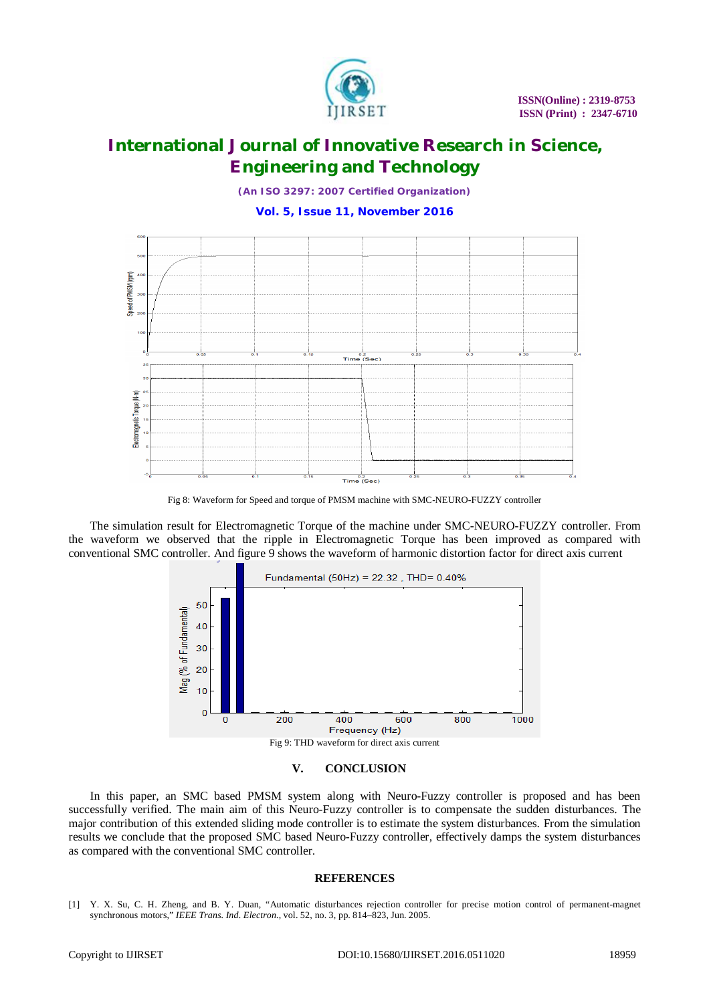

*(An ISO 3297: 2007 Certified Organization)* **Vol. 5, Issue 11, November 2016**



Fig 8: Waveform for Speed and torque of PMSM machine with SMC-NEURO-FUZZY controller

The simulation result for Electromagnetic Torque of the machine under SMC-NEURO-FUZZY controller. From the waveform we observed that the ripple in Electromagnetic Torque has been improved as compared with conventional SMC controller. And figure 9 shows the waveform of harmonic distortion factor for direct axis current



### **V. CONCLUSION**

In this paper, an SMC based PMSM system along with Neuro-Fuzzy controller is proposed and has been successfully verified. The main aim of this Neuro-Fuzzy controller is to compensate the sudden disturbances. The major contribution of this extended sliding mode controller is to estimate the system disturbances. From the simulation results we conclude that the proposed SMC based Neuro-Fuzzy controller, effectively damps the system disturbances as compared with the conventional SMC controller.

### **REFERENCES**

[1] Y. X. Su, C. H. Zheng, and B. Y. Duan, "Automatic disturbances rejection controller for precise motion control of permanent-magnet synchronous motors," *IEEE Trans. Ind. Electron.*, vol. 52, no. 3, pp. 814–823, Jun. 2005.